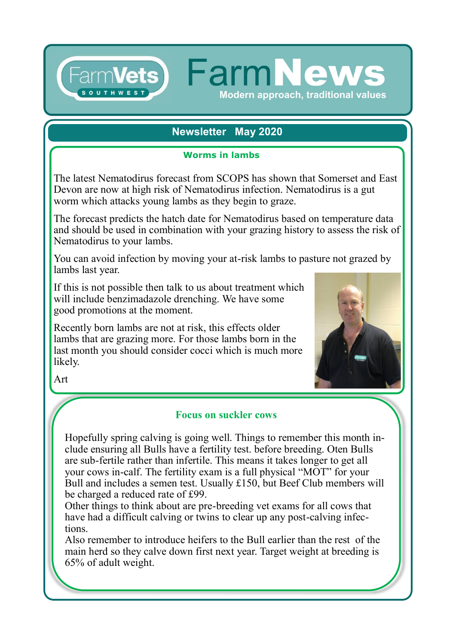# **Newsletter May 2020**

Modern approach, traditional values

FarmVets) FarmNew

### **Worms in lambs**

The latest Nematodirus forecast from SCOPS has shown that Somerset and East Devon are now at high risk of Nematodirus infection. Nematodirus is a gut worm which attacks young lambs as they begin to graze.

The forecast predicts the hatch date for Nematodirus based on temperature data and should be used in combination with your grazing history to assess the risk of Nematodirus to your lambs.

You can avoid infection by moving your at-risk lambs to pasture not grazed by lambs last year.

If this is not possible then talk to us about treatment which will include benzimadazole drenching. We have some good promotions at the moment.

Recently born lambs are not at risk, this effects older lambs that are grazing more. For those lambs born in the last month you should consider cocci which is much more likely.



Art

# **Focus on suckler cows**

Hopefully spring calving is going well. Things to remember this month include ensuring all Bulls have a fertility test. before breeding. Oten Bulls are sub-fertile rather than infertile. This means it takes longer to get all your cows in-calf. The fertility exam is a full physical "MOT" for your Bull and includes a semen test. Usually £150, but Beef Club members will be charged a reduced rate of £99.

Other things to think about are pre-breeding vet exams for all cows that have had a difficult calving or twins to clear up any post-calving infections.

Also remember to introduce heifers to the Bull earlier than the rest of the main herd so they calve down first next year. Target weight at breeding is 65% of adult weight.